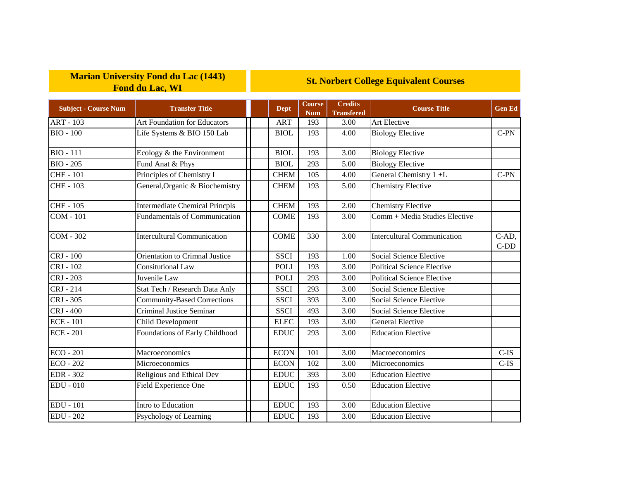## **Marian University Fond du Lac (1443) Fond du Lac, WI**

## **St. Norbert College Equivalent Courses**

| <b>Subject - Course Num</b> | <b>Transfer Title</b>                 | <b>Dept</b> | <b>Course</b><br><b>Num</b> | <b>Credits</b><br><b>Transfered</b> | <b>Course Title</b>                | <b>Gen Ed</b>   |
|-----------------------------|---------------------------------------|-------------|-----------------------------|-------------------------------------|------------------------------------|-----------------|
| <b>ART - 103</b>            | Art Foundation for Educators          | <b>ART</b>  | 193                         | 3.00                                | Art Elective                       |                 |
| <b>BIO - 100</b>            | Life Systems & BIO 150 Lab            | <b>BIOL</b> | 193                         | 4.00                                | <b>Biology Elective</b>            | $C-PN$          |
| <b>BIO</b> - 111            | Ecology & the Environment             | <b>BIOL</b> | 193                         | 3.00                                | <b>Biology Elective</b>            |                 |
| <b>BIO - 205</b>            | Fund Anat & Phys                      | <b>BIOL</b> | 293                         | 5.00                                | <b>Biology Elective</b>            |                 |
| <b>CHE-101</b>              | Principles of Chemistry I             | <b>CHEM</b> | 105                         | 4.00                                | General Chemistry 1+L              | $C-PN$          |
| <b>CHE-103</b>              | General, Organic & Biochemistry       | <b>CHEM</b> | 193                         | 5.00                                | <b>Chemistry Elective</b>          |                 |
| CHE - $105$                 | <b>Intermediate Chemical Princpls</b> | <b>CHEM</b> | 193                         | 2.00                                | <b>Chemistry Elective</b>          |                 |
| <b>COM - 101</b>            | <b>Fundamentals of Communication</b>  | <b>COME</b> | 193                         | 3.00                                | Comm + Media Studies Elective      |                 |
| <b>COM - 302</b>            | <b>Intercultural Communication</b>    | <b>COME</b> | 330                         | 3.00                                | <b>Intercultural Communication</b> | C-AD,<br>$C-DD$ |
| CRJ - 100                   | Orientation to Crimnal Justice        | <b>SSCI</b> | 193                         | 1.00                                | Social Science Elective            |                 |
| CRJ - 102                   | <b>Consitutional Law</b>              | <b>POLI</b> | 193                         | 3.00                                | <b>Political Science Elective</b>  |                 |
| CRJ - 203                   | Juvenile Law                          | <b>POLI</b> | 293                         | 3.00                                | <b>Political Science Elective</b>  |                 |
| CRJ - 214                   | Stat Tech / Research Data Anly        | <b>SSCI</b> | 293                         | 3.00                                | Social Science Elective            |                 |
| CRJ - 305                   | <b>Community-Based Corrections</b>    | <b>SSCI</b> | 393                         | 3.00                                | Social Science Elective            |                 |
| <b>CRJ</b> - 400            | <b>Criminal Justice Seminar</b>       | <b>SSCI</b> | 493                         | 3.00                                | Social Science Elective            |                 |
| <b>ECE - 101</b>            | Child Development                     | <b>ELEC</b> | 193                         | 3.00                                | <b>General Elective</b>            |                 |
| <b>ECE - 201</b>            | Foundations of Early Childhood        | <b>EDUC</b> | 293                         | 3.00                                | <b>Education Elective</b>          |                 |
| $ECO - 201$                 | Macroeconomics                        | <b>ECON</b> | 101                         | 3.00                                | Macroeconomics                     | $C$ -IS         |
| $ECO - 202$                 | Microeconomics                        | <b>ECON</b> | 102                         | 3.00                                | Microeconomics                     | $C-IS$          |
| <b>EDR</b> - 302            | Religious and Ethical Dev             | <b>EDUC</b> | 393                         | 3.00                                | <b>Education Elective</b>          |                 |
| <b>EDU - 010</b>            | Field Experience One                  | <b>EDUC</b> | 193                         | 0.50                                | <b>Education Elective</b>          |                 |
| <b>EDU</b> - 101            | Intro to Education                    | <b>EDUC</b> | 193                         | 3.00                                | <b>Education Elective</b>          |                 |
| <b>EDU - 202</b>            | Psychology of Learning                | <b>EDUC</b> | 193                         | 3.00                                | <b>Education Elective</b>          |                 |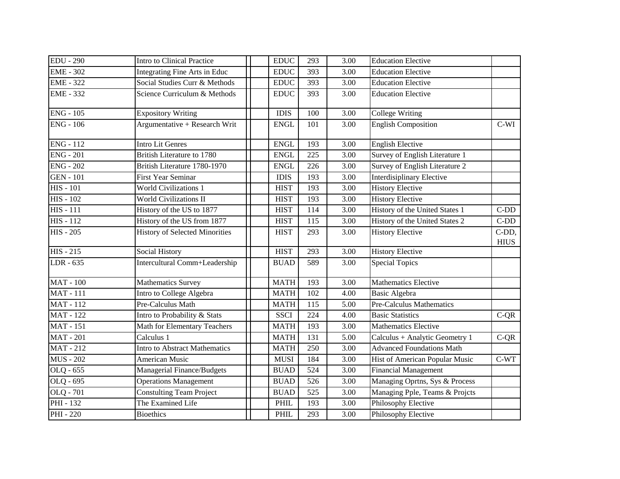| <b>EDU - 290</b> | Intro to Clinical Practice            | <b>EDUC</b> | 293 | 3.00 | <b>Education Elective</b>        |                      |
|------------------|---------------------------------------|-------------|-----|------|----------------------------------|----------------------|
| <b>EME - 302</b> | Integrating Fine Arts in Educ         | <b>EDUC</b> | 393 | 3.00 | <b>Education Elective</b>        |                      |
| <b>EME - 322</b> | Social Studies Curr & Methods         | <b>EDUC</b> | 393 | 3.00 | <b>Education Elective</b>        |                      |
| <b>EME - 332</b> | Science Curriculum & Methods          | <b>EDUC</b> | 393 | 3.00 | <b>Education Elective</b>        |                      |
| <b>ENG - 105</b> | <b>Expository Writing</b>             | <b>IDIS</b> | 100 | 3.00 | <b>College Writing</b>           |                      |
| <b>ENG - 106</b> | Argumentative + Research Writ         | <b>ENGL</b> | 101 | 3.00 | <b>English Composition</b>       | $C-WI$               |
| <b>ENG - 112</b> | <b>Intro Lit Genres</b>               | <b>ENGL</b> | 193 | 3.00 | <b>English Elective</b>          |                      |
| <b>ENG - 201</b> | British Literature to 1780            | <b>ENGL</b> | 225 | 3.00 | Survey of English Literature 1   |                      |
| <b>ENG - 202</b> | British Literature 1780-1970          | <b>ENGL</b> | 226 | 3.00 | Survey of English Literature 2   |                      |
| <b>GEN - 101</b> | <b>First Year Seminar</b>             | <b>IDIS</b> | 193 | 3.00 | <b>Interdisiplinary Elective</b> |                      |
| <b>HIS - 101</b> | <b>World Civilizations 1</b>          | <b>HIST</b> | 193 | 3.00 | <b>History Elective</b>          |                      |
| <b>HIS - 102</b> | <b>World Civilizations II</b>         | <b>HIST</b> | 193 | 3.00 | <b>History Elective</b>          |                      |
| $HIS - 111$      | History of the US to 1877             | <b>HIST</b> | 114 | 3.00 | History of the United States 1   | $C-DD$               |
| $HIS - 112$      | History of the US from 1877           | <b>HIST</b> | 115 | 3.00 | History of the United States 2   | $C-DD$               |
| <b>HIS - 205</b> | <b>History of Selected Minorities</b> | <b>HIST</b> | 293 | 3.00 | <b>History Elective</b>          | C-DD,<br><b>HIUS</b> |
| <b>HIS - 215</b> | Social History                        | <b>HIST</b> | 293 | 3.00 | <b>History Elective</b>          |                      |
| LDR - 635        | Intercultural Comm+Leadership         | <b>BUAD</b> | 589 | 3.00 | <b>Special Topics</b>            |                      |
| <b>MAT - 100</b> | <b>Mathematics Survey</b>             | <b>MATH</b> | 193 | 3.00 | <b>Mathematics Elective</b>      |                      |
| <b>MAT-111</b>   | Intro to College Algebra              | <b>MATH</b> | 102 | 4.00 | <b>Basic Algebra</b>             |                      |
| <b>MAT-112</b>   | Pre-Calculus Math                     | <b>MATH</b> | 115 | 5.00 | <b>Pre-Calculus Mathematics</b>  |                      |
| <b>MAT</b> - 122 | Intro to Probability & Stats          | <b>SSCI</b> | 224 | 4.00 | <b>Basic Statistics</b>          | $C-QR$               |
| <b>MAT</b> - 151 | Math for Elementary Teachers          | <b>MATH</b> | 193 | 3.00 | <b>Mathematics Elective</b>      |                      |
| <b>MAT</b> - 201 | Calculus 1                            | <b>MATH</b> | 131 | 5.00 | Calculus + Analytic Geometry 1   | $C-QR$               |
| <b>MAT-212</b>   | <b>Intro to Abstract Mathematics</b>  | <b>MATH</b> | 250 | 3.00 | <b>Advanced Foundations Math</b> |                      |
| <b>MUS - 202</b> | American Music                        | <b>MUSI</b> | 184 | 3.00 | Hist of American Popular Music   | $C-WT$               |
| OLQ - 655        | Managerial Finance/Budgets            | <b>BUAD</b> | 524 | 3.00 | <b>Financial Management</b>      |                      |
| OLQ - 695        | <b>Operations Management</b>          | <b>BUAD</b> | 526 | 3.00 | Managing Oprtns, Sys & Process   |                      |
| OLQ - 701        | <b>Constulting Team Project</b>       | <b>BUAD</b> | 525 | 3.00 | Managing Pple, Teams & Projcts   |                      |
| PHI - 132        | The Examined Life                     | PHIL        | 193 | 3.00 | Philosophy Elective              |                      |
| <b>PHI</b> - 220 | <b>Bioethics</b>                      | PHIL        | 293 | 3.00 | Philosophy Elective              |                      |